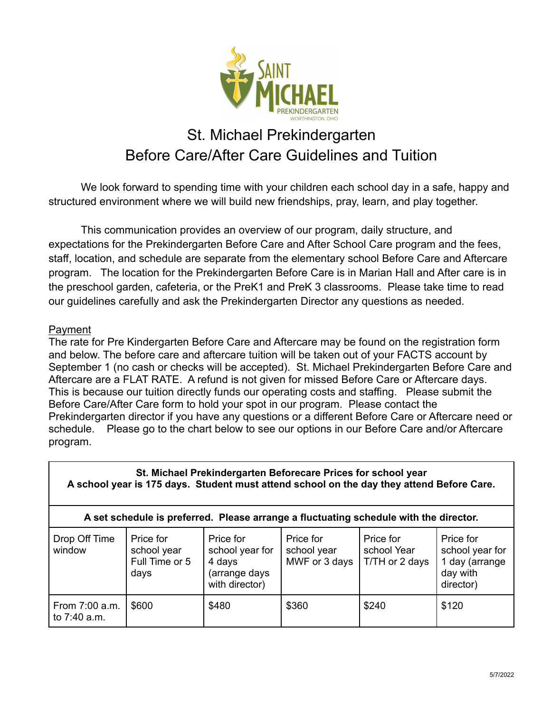

# St. Michael Prekindergarten Before Care/After Care Guidelines and Tuition

We look forward to spending time with your children each school day in a safe, happy and structured environment where we will build new friendships, pray, learn, and play together.

This communication provides an overview of our program, daily structure, and expectations for the Prekindergarten Before Care and After School Care program and the fees, staff, location, and schedule are separate from the elementary school Before Care and Aftercare program. The location for the Prekindergarten Before Care is in Marian Hall and After care is in the preschool garden, cafeteria, or the PreK1 and PreK 3 classrooms. Please take time to read our guidelines carefully and ask the Prekindergarten Director any questions as needed.

#### Payment

The rate for Pre Kindergarten Before Care and Aftercare may be found on the registration form and below. The before care and aftercare tuition will be taken out of your FACTS account by September 1 (no cash or checks will be accepted). St. Michael Prekindergarten Before Care and Aftercare are a FLAT RATE. A refund is not given for missed Before Care or Aftercare days. This is because our tuition directly funds our operating costs and staffing. Please submit the Before Care/After Care form to hold your spot in our program. Please contact the Prekindergarten director if you have any questions or a different Before Care or Aftercare need or schedule. Please go to the chart below to see our options in our Before Care and/or Aftercare program.

| St. Michael Prekindergarten Beforecare Prices for school year<br>A school year is 175 days. Student must attend school on the day they attend Before Care. |                                                    |                                                                           |                                           |                                            |                                                                         |  |  |  |  |  |  |
|------------------------------------------------------------------------------------------------------------------------------------------------------------|----------------------------------------------------|---------------------------------------------------------------------------|-------------------------------------------|--------------------------------------------|-------------------------------------------------------------------------|--|--|--|--|--|--|
| A set schedule is preferred. Please arrange a fluctuating schedule with the director.                                                                      |                                                    |                                                                           |                                           |                                            |                                                                         |  |  |  |  |  |  |
| Drop Off Time<br>window                                                                                                                                    | Price for<br>school year<br>Full Time or 5<br>days | Price for<br>school year for<br>4 days<br>(arrange days<br>with director) | Price for<br>school year<br>MWF or 3 days | Price for<br>school Year<br>T/TH or 2 days | Price for<br>school year for<br>1 day (arrange<br>day with<br>director) |  |  |  |  |  |  |
| From 7:00 a.m.<br>to 7:40 a.m.                                                                                                                             | \$600                                              | \$480                                                                     | \$360                                     | \$240                                      | \$120                                                                   |  |  |  |  |  |  |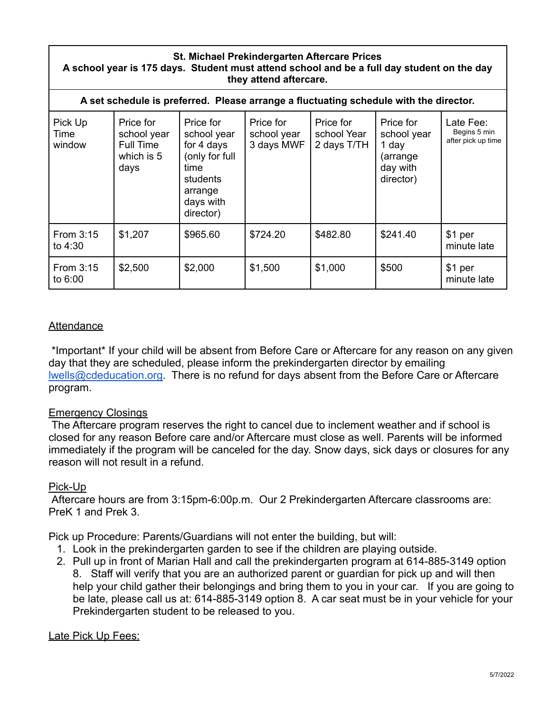#### **St. Michael Prekindergarten Aftercare Prices A school year is 175 days. Student must attend school and be a full day student on the day they attend aftercare.**

| A set schedule is preferred. Please arrange a fluctuating schedule with the director. |                                                             |                                                                                                                   |                                        |                                         |                                                                        |                                                 |  |  |  |  |
|---------------------------------------------------------------------------------------|-------------------------------------------------------------|-------------------------------------------------------------------------------------------------------------------|----------------------------------------|-----------------------------------------|------------------------------------------------------------------------|-------------------------------------------------|--|--|--|--|
| Pick Up<br>Time<br>window                                                             | Price for<br>school year<br>Full Time<br>which is 5<br>days | Price for<br>school year<br>for 4 days<br>(only for full<br>time<br>students<br>arrange<br>days with<br>director) | Price for<br>school year<br>3 days MWF | Price for<br>school Year<br>2 days T/TH | Price for<br>school year<br>1 day<br>(arrange<br>day with<br>director) | Late Fee:<br>Begins 5 min<br>after pick up time |  |  |  |  |
| From 3:15<br>to $4:30$                                                                | \$1,207                                                     | \$965.60                                                                                                          | \$724.20                               | \$482.80                                | \$241.40                                                               | \$1 per<br>minute late                          |  |  |  |  |
| From 3:15<br>to 6:00                                                                  | \$2,500                                                     | \$2,000                                                                                                           | \$1,500                                | \$1,000                                 | \$500                                                                  | \$1 per<br>minute late                          |  |  |  |  |

### **Attendance**

\*Important\* If your child will be absent from Before Care or Aftercare for any reason on any given day that they are scheduled, please inform the prekindergarten director by emailing [lwells@cdeducation.org.](mailto:lwells@cdeducation.org) There is no refund for days absent from the Before Care or Aftercare program.

#### Emergency Closings

The Aftercare program reserves the right to cancel due to inclement weather and if school is closed for any reason Before care and/or Aftercare must close as well. Parents will be informed immediately if the program will be canceled for the day. Snow days, sick days or closures for any reason will not result in a refund.

#### Pick-Up

Aftercare hours are from 3:15pm-6:00p.m. Our 2 Prekindergarten Aftercare classrooms are: PreK 1 and Prek 3.

Pick up Procedure: Parents/Guardians will not enter the building, but will:

- 1. Look in the prekindergarten garden to see if the children are playing outside.
- 2. Pull up in front of Marian Hall and call the prekindergarten program at 614-885-3149 option 8. Staff will verify that you are an authorized parent or guardian for pick up and will then help your child gather their belongings and bring them to you in your car. If you are going to be late, please call us at: 614-885-3149 option 8. A car seat must be in your vehicle for your Prekindergarten student to be released to you.

#### Late Pick Up Fees: